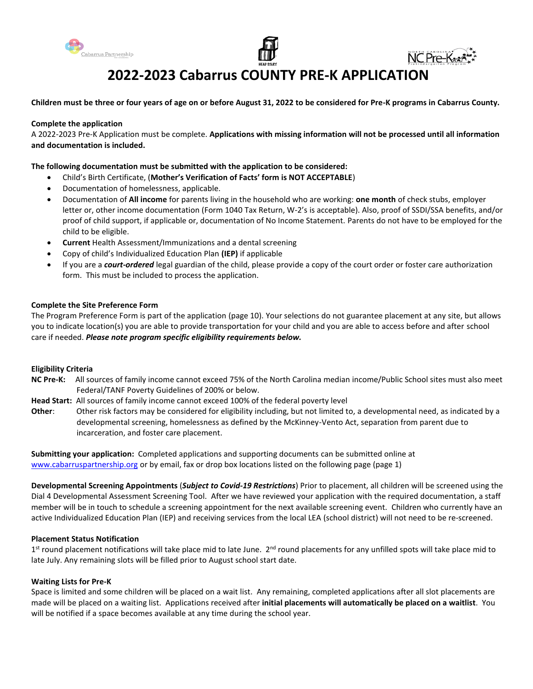





# **2022-2023 Cabarrus COUNTY PRE-K APPLICATION**

**Children must be three or four years of age on or before August 31, 2022 to be considered for Pre-K programs in Cabarrus County.** 

#### **Complete the application**

A 2022-2023 Pre-K Application must be complete. **Applications with missing information will not be processed until all information and documentation is included.** 

#### **The following documentation must be submitted with the application to be considered:**

- Child's Birth Certificate, (**Mother's Verification of Facts' form is NOT ACCEPTABLE**)
- Documentation of homelessness, applicable.
- Documentation of **All income** for parents living in the household who are working: **one month** of check stubs, employer letter or, other income documentation (Form 1040 Tax Return, W-2's is acceptable). Also, proof of SSDI/SSA benefits, and/or proof of child support, if applicable or, documentation of No Income Statement. Parents do not have to be employed for the child to be eligible.
- **Current** Health Assessment/Immunizations and a dental screening
- Copy of child's Individualized Education Plan **(IEP)** if applicable
- If you are a *court-ordered* legal guardian of the child, please provide a copy of the court order or foster care authorization form. This must be included to process the application.

#### **Complete the Site Preference Form**

The Program Preference Form is part of the application (page 10). Your selections do not guarantee placement at any site, but allows you to indicate location(s) you are able to provide transportation for your child and you are able to access before and after school care if needed. *Please note program specific eligibility requirements below.*

#### **Eligibility Criteria**

- **NC Pre-K:** All sources of family income cannot exceed 75% of the North Carolina median income/Public School sites must also meet Federal/TANF Poverty Guidelines of 200% or below.
- **Head Start:** All sources of family income cannot exceed 100% of the federal poverty level
- **Other**: Other risk factors may be considered for eligibility including, but not limited to, a developmental need, as indicated by a developmental screening, homelessness as defined by the McKinney-Vento Act, separation from parent due to incarceration, and foster care placement.

**Submitting your application:** Completed applications and supporting documents can be submitted online at [www.cabarruspartnership.org](http://www.cabarruspartnership.org/) or by email, fax or drop box locations listed on the following page (page 1)

**Developmental Screening Appointments** (*Subject to Covid-19 Restrictions*) Prior to placement, all children will be screened using the Dial 4 Developmental Assessment Screening Tool. After we have reviewed your application with the required documentation, a staff member will be in touch to schedule a screening appointment for the next available screening event. Children who currently have an active Individualized Education Plan (IEP) and receiving services from the local LEA (school district) will not need to be re-screened.

#### **Placement Status Notification**

1<sup>st</sup> round placement notifications will take place mid to late June. 2<sup>nd</sup> round placements for any unfilled spots will take place mid to late July. Any remaining slots will be filled prior to August school start date.

#### **Waiting Lists for Pre-K**

Space is limited and some children will be placed on a wait list. Any remaining, completed applications after all slot placements are made will be placed on a waiting list. Applications received after **initial placements will automatically be placed on a waitlist**. You will be notified if a space becomes available at any time during the school year.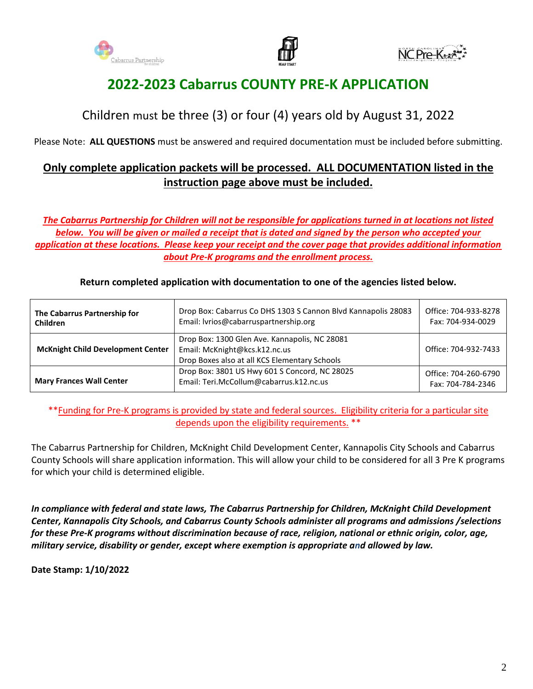





# **2022-2023 Cabarrus COUNTY PRE-K APPLICATION**

# Children must be three (3) or four (4) years old by August 31, 2022

Please Note: **ALL QUESTIONS** must be answered and required documentation must be included before submitting.

# **Only complete application packets will be processed. ALL DOCUMENTATION listed in the instruction page above must be included.**

*The Cabarrus Partnership for Children will not be responsible for applications turned in at locations not listed below. You will be given or mailed a receipt that is dated and signed by the person who accepted your application at these locations. Please keep your receipt and the cover page that provides additional information about Pre-K programs and the enrollment process.*

| The Cabarrus Partnership for<br><b>Children</b> | Drop Box: Cabarrus Co DHS 1303 S Cannon Blvd Kannapolis 28083<br>Email: lvrios@cabarruspartnership.org                          | Office: 704-933-8278<br>Fax: 704-934-0029 |
|-------------------------------------------------|---------------------------------------------------------------------------------------------------------------------------------|-------------------------------------------|
| <b>McKnight Child Development Center</b>        | Drop Box: 1300 Glen Ave. Kannapolis, NC 28081<br>Email: McKnight@kcs.k12.nc.us<br>Drop Boxes also at all KCS Elementary Schools | Office: 704-932-7433                      |
| <b>Mary Frances Wall Center</b>                 | Drop Box: 3801 US Hwy 601 S Concord, NC 28025<br>Email: Teri.McCollum@cabarrus.k12.nc.us                                        | Office: 704-260-6790<br>Fax: 704-784-2346 |

### **Return completed application with documentation to one of the agencies listed below.**

\*\*Funding for Pre-K programs is provided by state and federal sources. Eligibility criteria for a particular site depends upon the eligibility requirements. \*\*

The Cabarrus Partnership for Children, McKnight Child Development Center, Kannapolis City Schools and Cabarrus County Schools will share application information. This will allow your child to be considered for all 3 Pre K programs for which your child is determined eligible.

*In compliance with federal and state laws, The Cabarrus Partnership for Children, McKnight Child Development Center, Kannapolis City Schools, and Cabarrus County Schools administer all programs and admissions /selections for these Pre-K programs without discrimination because of race, religion, national or ethnic origin, color, age, military service, disability or gender, except where exemption is appropriate and allowed by law.*

**Date Stamp: 1/10/2022**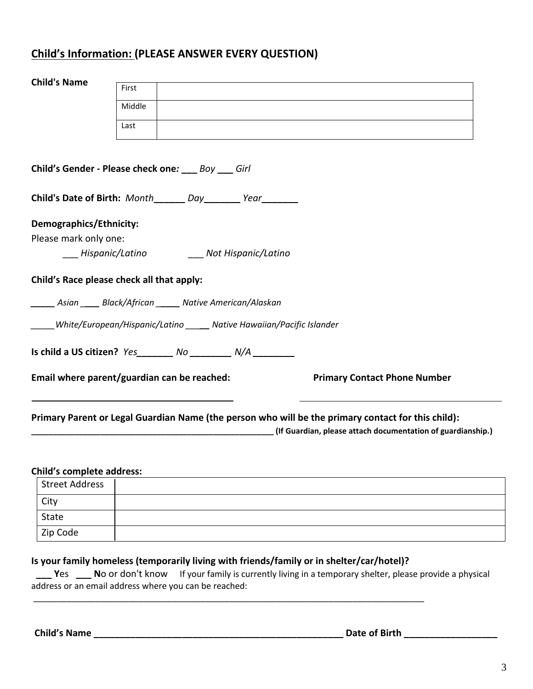# **Child's Information: (PLEASE ANSWER EVERY QUESTION)**

| <b>Child's Name</b>              | First                                                                       |                                                                                                                                                                   |
|----------------------------------|-----------------------------------------------------------------------------|-------------------------------------------------------------------------------------------------------------------------------------------------------------------|
|                                  | Middle                                                                      |                                                                                                                                                                   |
|                                  |                                                                             |                                                                                                                                                                   |
|                                  | Last                                                                        |                                                                                                                                                                   |
|                                  |                                                                             |                                                                                                                                                                   |
|                                  | Child's Gender - Please check one: ___ Boy ___ Girl                         |                                                                                                                                                                   |
|                                  | Child's Date of Birth: Month______ Day______ Year______                     |                                                                                                                                                                   |
| Demographics/Ethnicity:          |                                                                             |                                                                                                                                                                   |
| Please mark only one:            |                                                                             |                                                                                                                                                                   |
|                                  | ___ Hispanic/Latino ________ Not Hispanic/Latino                            |                                                                                                                                                                   |
|                                  | Child's Race please check all that apply:                                   |                                                                                                                                                                   |
|                                  | _____ Asian ____ Black/African _____ Native American/Alaskan                |                                                                                                                                                                   |
|                                  | _____White/European/Hispanic/Latino ______ Native Hawaiian/Pacific Islander |                                                                                                                                                                   |
|                                  | Is child a US citizen? Yes ________ No _________ N/A _________              |                                                                                                                                                                   |
|                                  | Email where parent/guardian can be reached:                                 | <b>Primary Contact Phone Number</b>                                                                                                                               |
|                                  |                                                                             | Primary Parent or Legal Guardian Name (the person who will be the primary contact for this child):<br>(If Guardian, please attach documentation of guardianship.) |
|                                  |                                                                             |                                                                                                                                                                   |
| <b>Child's complete address:</b> |                                                                             |                                                                                                                                                                   |

#### **Child's complete address:**

| <b>Street Address</b> |  |
|-----------------------|--|
| City                  |  |
| State                 |  |
| Zip Code              |  |

## **Is your family homeless (temporarily living with friends/family or in shelter/car/hotel)?**

\_\_\_\_\_\_\_\_\_\_\_\_\_\_\_\_\_\_\_\_\_\_\_\_\_\_\_\_\_\_\_\_\_\_\_\_\_\_\_\_\_\_\_\_\_\_\_\_\_\_\_\_\_\_\_\_\_\_\_\_\_\_\_\_\_\_\_\_\_\_\_\_\_\_\_\_\_\_\_\_\_\_

 **\_\_\_ Y**es**\_\_\_ N**o or don't know If your family is currently living in a temporary shelter, please provide a physical address or an email address where you can be reached:

**Child's Name \_\_\_\_\_\_\_\_\_\_\_\_\_\_\_\_\_\_\_\_\_\_\_\_\_\_\_\_\_\_\_\_\_\_\_\_\_\_\_\_\_\_\_\_\_\_\_\_ Date of Birth \_\_\_\_\_\_\_\_\_\_\_\_\_\_\_\_\_\_**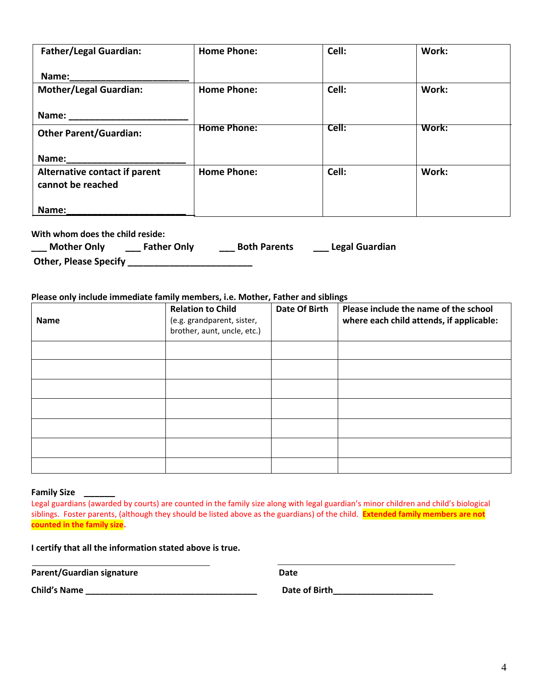| <b>Father/Legal Guardian:</b>                      | <b>Home Phone:</b> | Cell: | Work: |
|----------------------------------------------------|--------------------|-------|-------|
| Name:                                              |                    |       |       |
| <b>Mother/Legal Guardian:</b>                      | <b>Home Phone:</b> | Cell: | Work: |
| Name:                                              |                    |       |       |
| <b>Other Parent/Guardian:</b>                      | <b>Home Phone:</b> | ceil: | Work: |
| Name:                                              |                    |       |       |
| Alternative contact if parent<br>cannot be reached | <b>Home Phone:</b> | Cell: | Work: |
|                                                    |                    |       |       |
| Name:                                              |                    |       |       |

**With whom does the child reside:**

| <b>Mother Only</b>           | <b>Father Only</b> | <b>Both Parents</b> | Legal Guardian |
|------------------------------|--------------------|---------------------|----------------|
| <b>Other, Please Specify</b> |                    |                     |                |

#### **Please only include immediate family members, i.e. Mother, Father and siblings**

| <b>Name</b> | <b>Relation to Child</b><br>(e.g. grandparent, sister,<br>brother, aunt, uncle, etc.) | Date Of Birth | Please include the name of the school<br>where each child attends, if applicable: |
|-------------|---------------------------------------------------------------------------------------|---------------|-----------------------------------------------------------------------------------|
|             |                                                                                       |               |                                                                                   |
|             |                                                                                       |               |                                                                                   |
|             |                                                                                       |               |                                                                                   |
|             |                                                                                       |               |                                                                                   |
|             |                                                                                       |               |                                                                                   |
|             |                                                                                       |               |                                                                                   |
|             |                                                                                       |               |                                                                                   |

#### **Family Size \_\_\_\_\_\_**

Legal guardians (awarded by courts) are counted in the family size along with legal guardian's minor children and child's biological siblings. Foster parents, (although they should be listed above as the guardians) of the child. **Extended family members are not counted in the family size.**

**I certify that all the information stated above is true.**

Parent/Guardian signature **Date** Date

**Child's Name \_\_\_\_\_\_\_\_\_\_\_\_\_\_\_\_\_\_\_\_\_\_\_\_\_\_\_\_\_\_\_\_\_\_\_\_ Date of Birth\_\_\_\_\_\_\_\_\_\_\_\_\_\_\_\_\_\_\_\_\_**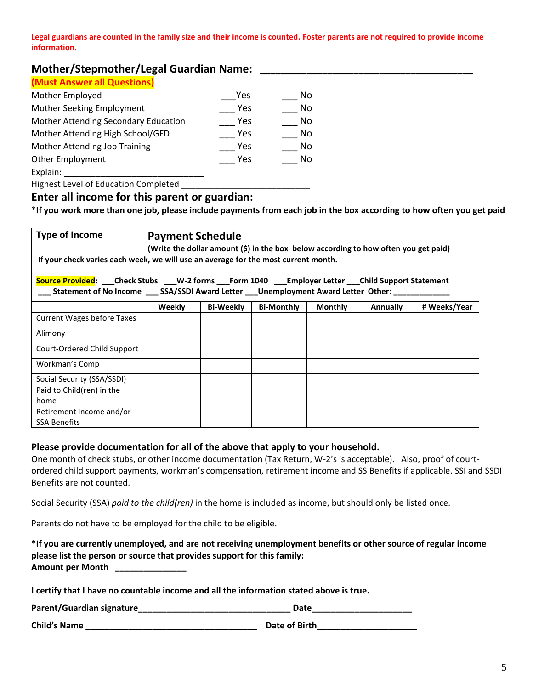**Legal guardians are counted in the family size and their income is counted. Foster parents are not required to provide income information.** 

# **Mother/Stepmother/Legal Guardian Name:**

### **(Must Answer all Questions)**

| Yes | No |
|-----|----|
| Yes | No |
| Yes | No |
| Yes | No |
| Yes | No |
| Yes | No |
|     |    |
|     |    |

Highest Level of Education Completed \_\_\_\_\_\_\_

### **Enter all income for this parent or guardian:**

**\*If you work more than one job, please include payments from each job in the box according to how often you get paid**

| <b>Type of Income</b>                                                                                    | <b>Payment Schedule</b><br>(Write the dollar amount (\$) in the box below according to how often you get paid) |                  |                   |                |                 |              |
|----------------------------------------------------------------------------------------------------------|----------------------------------------------------------------------------------------------------------------|------------------|-------------------|----------------|-----------------|--------------|
| If your check varies each week, we will use an average for the most current month.                       |                                                                                                                |                  |                   |                |                 |              |
| Source Provided: ___Check Stubs ___W-2 forms ___Form 1040 ____Employer Letter ___Child Support Statement |                                                                                                                |                  |                   |                |                 |              |
|                                                                                                          | Weekly                                                                                                         | <b>Bi-Weekly</b> | <b>Bi-Monthly</b> | <b>Monthly</b> | <b>Annually</b> | # Weeks/Year |
| <b>Current Wages before Taxes</b>                                                                        |                                                                                                                |                  |                   |                |                 |              |
| Alimony                                                                                                  |                                                                                                                |                  |                   |                |                 |              |
| Court-Ordered Child Support                                                                              |                                                                                                                |                  |                   |                |                 |              |
| Workman's Comp                                                                                           |                                                                                                                |                  |                   |                |                 |              |
| Social Security (SSA/SSDI)                                                                               |                                                                                                                |                  |                   |                |                 |              |
| Paid to Child(ren) in the                                                                                |                                                                                                                |                  |                   |                |                 |              |
| home                                                                                                     |                                                                                                                |                  |                   |                |                 |              |
| Retirement Income and/or                                                                                 |                                                                                                                |                  |                   |                |                 |              |
| <b>SSA Benefits</b>                                                                                      |                                                                                                                |                  |                   |                |                 |              |

### **Please provide documentation for all of the above that apply to your household.**

One month of check stubs, or other income documentation (Tax Return, W-2's is acceptable). Also, proof of courtordered child support payments, workman's compensation, retirement income and SS Benefits if applicable. SSI and SSDI Benefits are not counted.

Social Security (SSA) *paid to the child(ren)* in the home is included as income, but should only be listed once.

Parents do not have to be employed for the child to be eligible.

| *If you are currently unemployed, and are not receiving unemployment benefits or other source of regular income |
|-----------------------------------------------------------------------------------------------------------------|
| please list the person or source that provides support for this family:                                         |
| Amount per Month                                                                                                |

**I certify that I have no countable income and all the information stated above is true.**

| Parent/Guardian signature_ |  | Date |
|----------------------------|--|------|
|----------------------------|--|------|

| <b>Child's Name</b> |  | Date of Birth |
|---------------------|--|---------------|
|---------------------|--|---------------|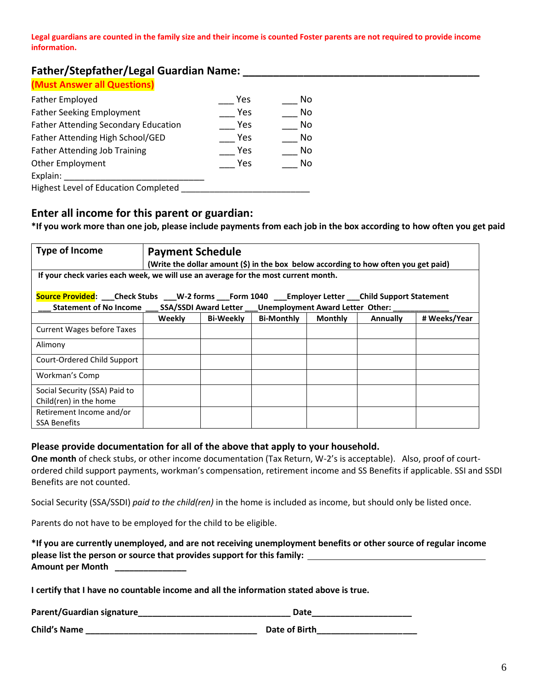**Legal guardians are counted in the family size and their income is counted Foster parents are not required to provide income information.** 

## **Father/Stepfather/Legal Guardian Name: \_\_\_\_\_\_\_\_\_\_\_\_\_\_\_\_\_\_\_\_\_\_\_\_\_\_\_\_\_\_\_\_\_\_\_\_\_\_\_**

| Father Employed                             | Yes | No. |
|---------------------------------------------|-----|-----|
| <b>Father Seeking Employment</b>            | Yes | No. |
| <b>Father Attending Secondary Education</b> | Yes | No. |
| Father Attending High School/GED            | Yes | No. |
| <b>Father Attending Job Training</b>        | Yes | No. |
| <b>Other Employment</b>                     | Yes | No. |
| Explain:                                    |     |     |
| Highest Level of Education Completed        |     |     |

# **Enter all income for this parent or guardian:**

**\*If you work more than one job, please include payments from each job in the box according to how often you get paid**

| <b>Type of Income</b>                                                                                                                                                                                    | <b>Payment Schedule</b> |                  |                   |                | (Write the dollar amount (\$) in the box below according to how often you get paid) |              |
|----------------------------------------------------------------------------------------------------------------------------------------------------------------------------------------------------------|-------------------------|------------------|-------------------|----------------|-------------------------------------------------------------------------------------|--------------|
| If your check varies each week, we will use an average for the most current month.                                                                                                                       |                         |                  |                   |                |                                                                                     |              |
| Source Provided: ___ Check Stubs ___ W-2 forms ___ Form 1040 ___ Employer Letter ___ Child Support Statement<br>Statement of No Income ____ SSA/SSDI Award Letter ___ Unemployment Award Letter Other: _ |                         |                  |                   |                |                                                                                     |              |
|                                                                                                                                                                                                          | Weekly                  | <b>Bi-Weekly</b> | <b>Bi-Monthly</b> | <b>Monthly</b> | <b>Annually</b>                                                                     | # Weeks/Year |
| <b>Current Wages before Taxes</b>                                                                                                                                                                        |                         |                  |                   |                |                                                                                     |              |
| Alimony                                                                                                                                                                                                  |                         |                  |                   |                |                                                                                     |              |
| Court-Ordered Child Support                                                                                                                                                                              |                         |                  |                   |                |                                                                                     |              |
| Workman's Comp                                                                                                                                                                                           |                         |                  |                   |                |                                                                                     |              |
| Social Security (SSA) Paid to                                                                                                                                                                            |                         |                  |                   |                |                                                                                     |              |
| Child(ren) in the home                                                                                                                                                                                   |                         |                  |                   |                |                                                                                     |              |
| Retirement Income and/or<br><b>SSA Benefits</b>                                                                                                                                                          |                         |                  |                   |                |                                                                                     |              |

#### **Please provide documentation for all of the above that apply to your household.**

**One month** of check stubs, or other income documentation (Tax Return, W-2's is acceptable). Also, proof of courtordered child support payments, workman's compensation, retirement income and SS Benefits if applicable. SSI and SSDI Benefits are not counted.

Social Security (SSA/SSDI) *paid to the child(ren)* in the home is included as income, but should only be listed once.

Parents do not have to be employed for the child to be eligible.

| *If you are currently unemployed, and are not receiving unemployment benefits or other source of regular income |
|-----------------------------------------------------------------------------------------------------------------|
| please list the person or source that provides support for this family:                                         |
| <b>Amount per Month</b>                                                                                         |

**I certify that I have no countable income and all the information stated above is true.**

| Parent/Guardian signature_ | Date |
|----------------------------|------|
|----------------------------|------|

| <b>Child's Name</b> | Date of Birth |
|---------------------|---------------|
|                     |               |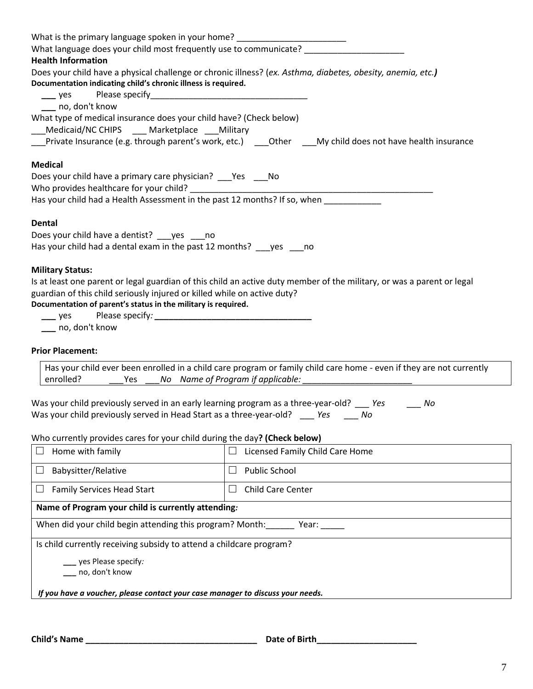| What is the primary language spoken in your home? ______________________________          |                                                                                                                        |
|-------------------------------------------------------------------------------------------|------------------------------------------------------------------------------------------------------------------------|
| What language does your child most frequently use to communicate? _____                   |                                                                                                                        |
| <b>Health Information</b>                                                                 |                                                                                                                        |
| Documentation indicating child's chronic illness is required.                             | Does your child have a physical challenge or chronic illness? (ex. Asthma, diabetes, obesity, anemia, etc.)            |
| $\frac{1}{2}$ yes                                                                         |                                                                                                                        |
| ___ no, don't know                                                                        |                                                                                                                        |
| What type of medical insurance does your child have? (Check below)                        |                                                                                                                        |
| Medicaid/NC CHIPS ___ Marketplace ___ Military                                            |                                                                                                                        |
|                                                                                           | Private Insurance (e.g. through parent's work, etc.) ____Other ____My child does not have health insurance             |
| <b>Medical</b>                                                                            |                                                                                                                        |
| Does your child have a primary care physician? ___ Yes ____ No                            |                                                                                                                        |
|                                                                                           |                                                                                                                        |
| Has your child had a Health Assessment in the past 12 months? If so, when ____________    |                                                                                                                        |
| <b>Dental</b>                                                                             |                                                                                                                        |
| Does your child have a dentist? ___ yes ____ no                                           |                                                                                                                        |
| Has your child had a dental exam in the past 12 months? ges ___ no                        |                                                                                                                        |
|                                                                                           |                                                                                                                        |
| <b>Military Status:</b>                                                                   |                                                                                                                        |
| guardian of this child seriously injured or killed while on active duty?                  | Is at least one parent or legal guardian of this child an active duty member of the military, or was a parent or legal |
| Documentation of parent's status in the military is required.                             |                                                                                                                        |
| $\frac{1}{2}$ yes                                                                         |                                                                                                                        |
| ___ no, don't know                                                                        |                                                                                                                        |
|                                                                                           |                                                                                                                        |
| <b>Prior Placement:</b>                                                                   |                                                                                                                        |
|                                                                                           | Has your child ever been enrolled in a child care program or family child care home - even if they are not currently   |
| enrolled?                                                                                 | Yes ___No Name of Program if applicable: ________                                                                      |
| Was your child previously served in an early learning program as a three-year-old? __ Yes | No                                                                                                                     |
| Was your child previously served in Head Start as a three-year-old? ____ Yes ____ No      |                                                                                                                        |
|                                                                                           |                                                                                                                        |
| Who currently provides cares for your child during the day? (Check below)                 |                                                                                                                        |
| Home with family                                                                          | Licensed Family Child Care Home                                                                                        |
| Babysitter/Relative                                                                       | <b>Public School</b>                                                                                                   |
| <b>Family Services Head Start</b>                                                         | Child Care Center                                                                                                      |
| Name of Program your child is currently attending:                                        |                                                                                                                        |
| When did your child begin attending this program? Month: Year: Year:                      |                                                                                                                        |
| Is child currently receiving subsidy to attend a childcare program?                       |                                                                                                                        |
| _ yes Please specify:                                                                     |                                                                                                                        |
| __ no, don't know                                                                         |                                                                                                                        |
| If you have a voucher, please contact your case manager to discuss your needs.            |                                                                                                                        |
|                                                                                           |                                                                                                                        |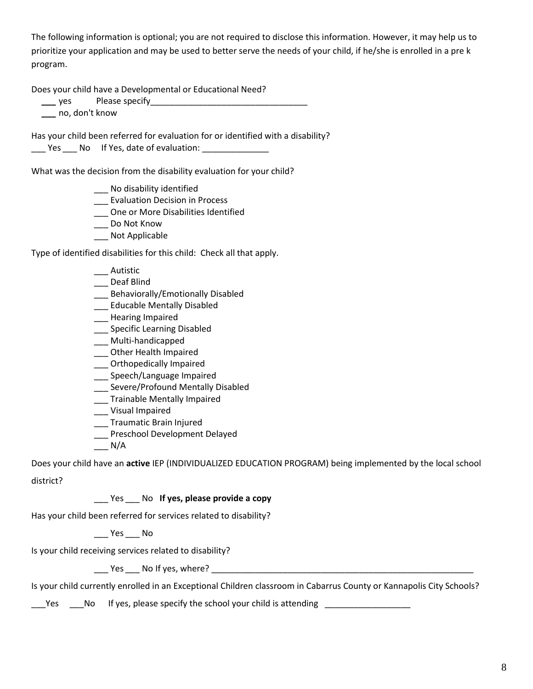The following information is optional; you are not required to disclose this information. However, it may help us to prioritize your application and may be used to better serve the needs of your child, if he/she is enrolled in a pre k program.

Does your child have a Developmental or Educational Need?

| Please specify<br>$\sqrt{2}$<br>. |  |
|-----------------------------------|--|
|                                   |  |

 *\_\_\_* no, don't know

Has your child been referred for evaluation for or identified with a disability? \_\_\_ Yes \_\_\_ No If Yes, date of evaluation: \_\_\_\_\_\_\_\_\_\_\_\_\_\_\_

What was the decision from the disability evaluation for your child?

- \_\_\_ No disability identified
- \_\_\_ Evaluation Decision in Process
- \_\_\_ One or More Disabilities Identified
- \_\_\_ Do Not Know
- Not Applicable

Type of identified disabilities for this child: Check all that apply.

- \_\_\_ Autistic
- \_\_\_ Deaf Blind
- \_\_\_ Behaviorally/Emotionally Disabled
- \_\_\_ Educable Mentally Disabled
- \_\_\_ Hearing Impaired
- \_\_\_ Specific Learning Disabled
- \_\_\_ Multi-handicapped
- \_\_\_ Other Health Impaired
- \_\_\_ Orthopedically Impaired
- \_\_\_ Speech/Language Impaired
- \_\_\_ Severe/Profound Mentally Disabled
- \_\_\_ Trainable Mentally Impaired
- \_\_\_ Visual Impaired
- \_\_\_ Traumatic Brain Injured
- \_\_\_ Preschool Development Delayed
- $\overline{\phantom{0}}$  N/A

Does your child have an **active** IEP (INDIVIDUALIZED EDUCATION PROGRAM) being implemented by the local school

district?

## \_\_\_ Yes \_\_\_ No **If yes, please provide a copy**

Has your child been referred for services related to disability?

 $\rule{1em}{0.15mm}$  Yes  $\rule{1em}{0.15mm}$  No

Is your child receiving services related to disability?

Yes No If yes, where? The state of the state of the state of the state of the state of the state of the state of the state of the state of the state of the state of the state of the state of the state of the state of the s

Is your child currently enrolled in an Exceptional Children classroom in Cabarrus County or Kannapolis City Schools?

Yes No If yes, please specify the school your child is attending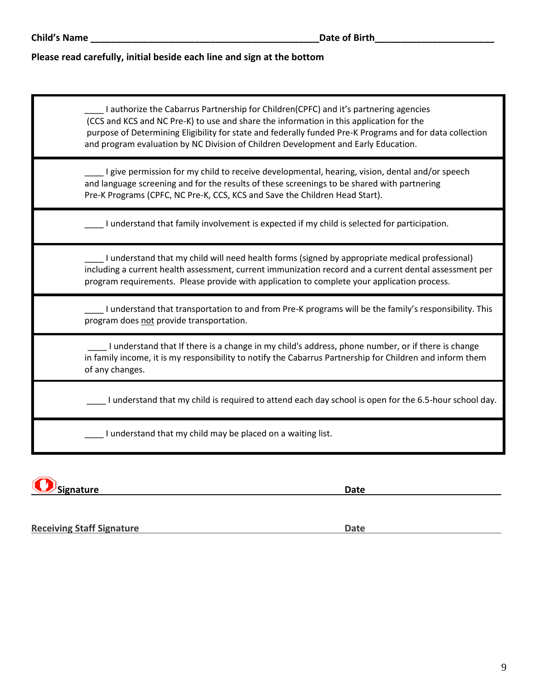### **Please read carefully, initial beside each line and sign at the bottom**

\_\_\_\_ I authorize the Cabarrus Partnership for Children(CPFC) and it's partnering agencies (CCS and KCS and NC Pre-K) to use and share the information in this application for the purpose of Determining Eligibility for state and federally funded Pre-K Programs and for data collection and program evaluation by NC Division of Children Development and Early Education.

I give permission for my child to receive developmental, hearing, vision, dental and/or speech and language screening and for the results of these screenings to be shared with partnering Pre-K Programs (CPFC, NC Pre-K, CCS, KCS and Save the Children Head Start).

\_\_\_\_ I understand that family involvement is expected if my child is selected for participation.

\_\_\_\_ I understand that my child will need health forms (signed by appropriate medical professional) including a current health assessment, current immunization record and a current dental assessment per program requirements. Please provide with application to complete your application process.

\_\_\_\_ I understand that transportation to and from Pre-K programs will be the family's responsibility. This program does not provide transportation.

\_\_\_\_ I understand that If there is a change in my child's address, phone number, or if there is change in family income, it is my responsibility to notify the Cabarrus Partnership for Children and inform them of any changes.

\_\_\_\_ I understand that my child is required to attend each day school is open for the 6.5-hour school day.

I understand that my child may be placed on a waiting list.

**Signature Date**

**Receiving Staff Signature Date Date Date Date Date**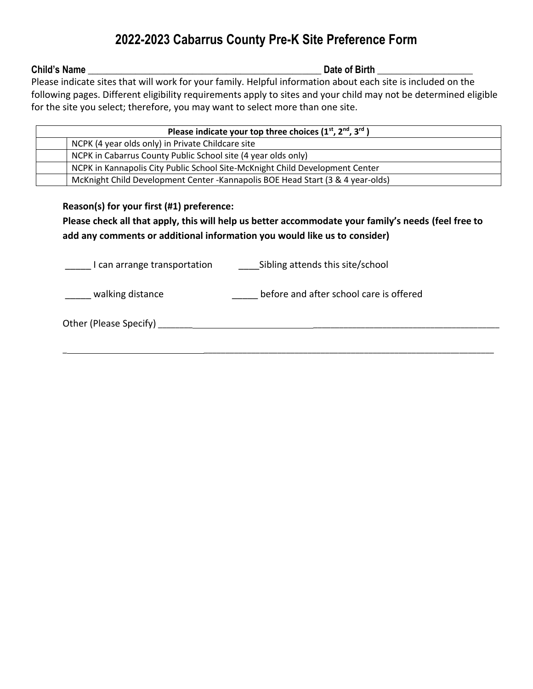# **2022-2023 Cabarrus County Pre-K Site Preference Form**

**Child's Name Date of Birth Date of Birth Date of Birth** *Date of Birth*

Please indicate sites that will work for your family. Helpful information about each site is included on the following pages. Different eligibility requirements apply to sites and your child may not be determined eligible for the site you select; therefore, you may want to select more than one site.

| Please indicate your top three choices $(1^{st}, 2^{nd}, 3^{rd})$               |
|---------------------------------------------------------------------------------|
| NCPK (4 year olds only) in Private Childcare site                               |
| NCPK in Cabarrus County Public School site (4 year olds only)                   |
| NCPK in Kannapolis City Public School Site-McKnight Child Development Center    |
| McKnight Child Development Center - Kannapolis BOE Head Start (3 & 4 year-olds) |

## **Reason(s) for your first (#1) preference:**

# **Please check all that apply, this will help us better accommodate your family's needs (feel free to add any comments or additional information you would like us to consider)**

\_ \_\_\_\_\_\_\_\_\_\_\_\_\_\_\_\_\_\_\_\_\_\_\_\_\_\_\_\_\_\_\_\_\_\_\_\_\_\_\_\_\_\_\_\_\_\_\_\_\_\_\_\_\_\_\_\_\_\_\_\_\_\_\_\_\_\_\_

I can arrange transportation **Sibling attends this site/school** 

\_\_\_\_\_ walking distance \_\_\_\_\_\_\_\_\_\_\_\_\_\_\_\_\_\_ before and after school care is offered

Other (Please Specify) \_\_\_\_\_\_\_\_ \_\_\_\_\_\_\_\_\_\_\_\_\_\_\_\_\_\_\_\_\_\_\_\_\_\_\_\_\_\_\_\_\_\_\_\_\_\_\_\_\_\_\_